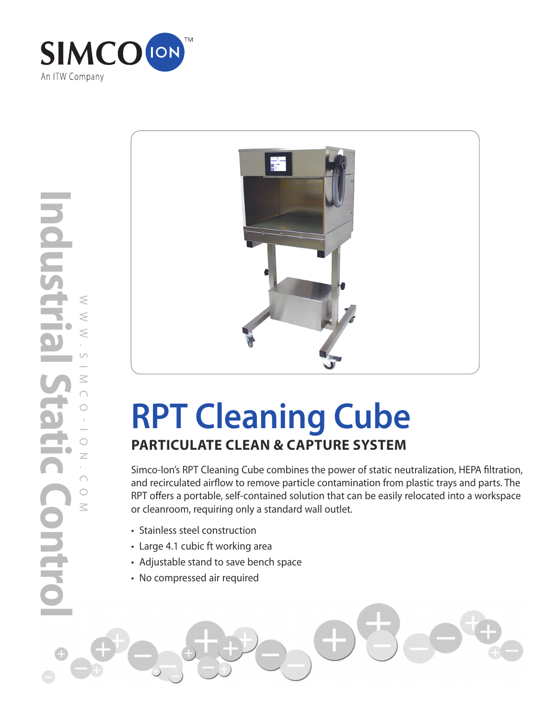

**Industrial Static Control Idustrial**  $\leq$ WWW.SIMCO-ION.COM  $\leq$  $\leq$  $\cup$  $\leq$  $\bigcap$  $\circ$  $\bar{\mathbb{F}}$  $\circ$  $\overline{\phantom{0}}$  $\overline{z}$ **COL**  $\bigcap$  $\circ$  $\leq$ HEIG



# **RPT Cleaning Cube PARTICULATE CLEAN & CAPTURE SYSTEM**

Simco-Ion's RPT Cleaning Cube combines the power of static neutralization, HEPA filtration, and recirculated airflow to remove particle contamination from plastic trays and parts. The RPT offers a portable, self-contained solution that can be easily relocated into a workspace or cleanroom, requiring only a standard wall outlet.

- Stainless steel construction
- Large 4.1 cubic ft working area
- Adjustable stand to save bench space
- No compressed air required